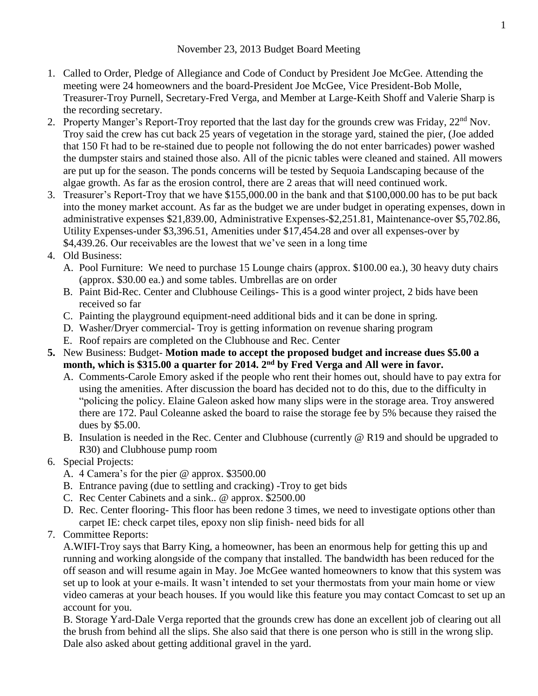## November 23, 2013 Budget Board Meeting

- 1. Called to Order, Pledge of Allegiance and Code of Conduct by President Joe McGee. Attending the meeting were 24 homeowners and the board-President Joe McGee, Vice President-Bob Molle, Treasurer-Troy Purnell, Secretary-Fred Verga, and Member at Large-Keith Shoff and Valerie Sharp is the recording secretary.
- 2. Property Manger's Report-Troy reported that the last day for the grounds crew was Friday, 22<sup>nd</sup> Nov. Troy said the crew has cut back 25 years of vegetation in the storage yard, stained the pier, (Joe added that 150 Ft had to be re-stained due to people not following the do not enter barricades) power washed the dumpster stairs and stained those also. All of the picnic tables were cleaned and stained. All mowers are put up for the season. The ponds concerns will be tested by Sequoia Landscaping because of the algae growth. As far as the erosion control, there are 2 areas that will need continued work.
- 3. Treasurer's Report-Troy that we have \$155,000.00 in the bank and that \$100,000.00 has to be put back into the money market account. As far as the budget we are under budget in operating expenses, down in administrative expenses \$21,839.00, Administrative Expenses-\$2,251.81, Maintenance-over \$5,702.86, Utility Expenses-under \$3,396.51, Amenities under \$17,454.28 and over all expenses-over by \$4,439.26. Our receivables are the lowest that we've seen in a long time

## 4. Old Business:

- A. Pool Furniture: We need to purchase 15 Lounge chairs (approx. \$100.00 ea.), 30 heavy duty chairs (approx. \$30.00 ea.) and some tables. Umbrellas are on order
- B. Paint Bid-Rec. Center and Clubhouse Ceilings- This is a good winter project, 2 bids have been received so far
- C. Painting the playground equipment-need additional bids and it can be done in spring.
- D. Washer/Dryer commercial- Troy is getting information on revenue sharing program
- E. Roof repairs are completed on the Clubhouse and Rec. Center
- **5.** New Business: Budget- **Motion made to accept the proposed budget and increase dues \$5.00 a month, which is \$315.00 a quarter for 2014. 2nd by Fred Verga and All were in favor.**
	- A. Comments-Carole Emory asked if the people who rent their homes out, should have to pay extra for using the amenities. After discussion the board has decided not to do this, due to the difficulty in "policing the policy. Elaine Galeon asked how many slips were in the storage area. Troy answered there are 172. Paul Coleanne asked the board to raise the storage fee by 5% because they raised the dues by \$5.00.
	- B. Insulation is needed in the Rec. Center and Clubhouse (currently @ R19 and should be upgraded to R30) and Clubhouse pump room
- 6. Special Projects:
	- A. 4 Camera's for the pier @ approx. \$3500.00
	- B. Entrance paving (due to settling and cracking) -Troy to get bids
	- C. Rec Center Cabinets and a sink.. @ approx. \$2500.00
	- D. Rec. Center flooring- This floor has been redone 3 times, we need to investigate options other than carpet IE: check carpet tiles, epoxy non slip finish- need bids for all
- 7. Committee Reports:

A.WIFI-Troy says that Barry King, a homeowner, has been an enormous help for getting this up and running and working alongside of the company that installed. The bandwidth has been reduced for the off season and will resume again in May. Joe McGee wanted homeowners to know that this system was set up to look at your e-mails. It wasn't intended to set your thermostats from your main home or view video cameras at your beach houses. If you would like this feature you may contact Comcast to set up an account for you.

B. Storage Yard-Dale Verga reported that the grounds crew has done an excellent job of clearing out all the brush from behind all the slips. She also said that there is one person who is still in the wrong slip. Dale also asked about getting additional gravel in the yard.